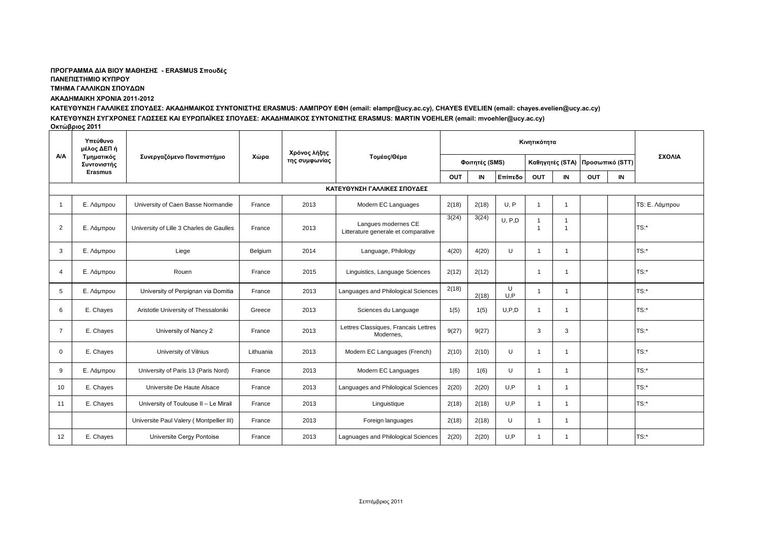# ΠΡΟΓΡΑΜΜΑ ΔΙΑ ΒΙΟΥ ΜΑΘΗΣΗΣ - ERASMUS Σπουδές

**ΠΑΝΔΠΙΣΗΜΙΟ ΚΤΠΡΟΤ**

**ΤΜΗΜΑ ΓΑΛΛΙΚΩΝ ΣΠΟΥΔΩΝ** 

## **ΑΚΑΔΗΜΑΙΚΗ ΧΡΟΝΙΑ 2011-2012**

ΚΑΤΕΥΘΥΝΣΗ ΓΑΛΛΙΚΕΣ ΣΠΟΥΔΕΣ: ΑΚΑΔΗΜΑΙΚΟΣ ΣΥΝΤΟΝΙΣΤΗΣ ERASMUS: ΛΑΜΠΡΟΥ ΕΦΗ (email: elampr@ucy.ac.cy), CHAYES EVELIEN (email: chayes.evelien@ucy.ac.cy) ΚΑΤΕΥΘΥΝΣΗ ΣΥΓΧΡΟΝΕΣ ΓΛΩΣΣΕΣ ΚΑΙ ΕΥΡΩΠΑΪΚΕΣ ΣΠΟΥΔΕΣ: ΑΚΑΔΗΜΑΙΚΟΣ ΣΥΝΤΟΝΙΣΤΗΣ ERASMUS: MARTIN VOEHLER (email: mvoehler@ucy.ac.cy) **Οθηώβξηνο 2011**

| A/A                         | Υπεύθυνο<br>μέλος ΔΕΠ ή<br>Τμηματικός<br>Συντονιστής | Συνεργαζόμενο Πανεπιστήμιο               | Χώρα      | Χρόνος λήξης<br>της συμφωνίας | Τομέας/Θέμα                                                | Κινητικότητα   |       |          |                 |                |                 |    |                       |
|-----------------------------|------------------------------------------------------|------------------------------------------|-----------|-------------------------------|------------------------------------------------------------|----------------|-------|----------|-----------------|----------------|-----------------|----|-----------------------|
|                             |                                                      |                                          |           |                               |                                                            | Φοιτητές (SMS) |       |          | Καθηγητές (STA) |                | Προσωπικό (STT) |    | ΣΧΟΛΙΑ                |
|                             | <b>Erasmus</b>                                       |                                          |           |                               |                                                            | OUT            | IN    | Επίπεδο  | <b>OUT</b>      | IN             | OUT             | IN |                       |
| ΚΑΤΕΥΘΥΝΣΗ ΓΑΛΛΙΚΕΣ ΣΠΟΥΔΕΣ |                                                      |                                          |           |                               |                                                            |                |       |          |                 |                |                 |    |                       |
|                             | Ε. Λάμπρου                                           | University of Caen Basse Normandie       | France    | 2013                          | Modern EC Languages                                        | 2(18)          | 2(18) | U.P      | -1              |                |                 |    | <b>TS: Ε. Λάμπρου</b> |
| 2                           | Ε. Λάμπρου                                           | University of Lille 3 Charles de Gaulles | France    | 2013                          | Langues modernes CE<br>Litterature generale et comparative | 3(24)          | 3(24) | U, P, D  | $\overline{1}$  | $\overline{1}$ |                 |    | TS:                   |
| 3                           | Ε. Λάμπρου                                           | Liege                                    | Belgium   | 2014                          | Language, Philology                                        | 4(20)          | 4(20) | U        |                 |                |                 |    | $TS:$ *               |
| $\overline{4}$              | Ε. Λάμπρου                                           | Rouen                                    | France    | 2015                          | Linguistics, Language Sciences                             | 2(12)          | 2(12) |          | -1              |                |                 |    | TS:*                  |
| 5                           | Ε. Λάμπρου                                           | University of Perpignan via Domitia      | France    | 2013                          | Languages and Philological Sciences                        | 2(18)          | 2(18) | U<br>U.P |                 |                |                 |    | $TS:$ *               |
| 6                           | E. Chayes                                            | Aristotle University of Thessaloniki     | Greece    | 2013                          | Sciences du Language                                       | 1(5)           | 1(5)  | U, P, D  |                 |                |                 |    | $TS:$ *               |
| $\overline{7}$              | E. Chayes                                            | University of Nancy 2                    | France    | 2013                          | Lettres Classiques, Francais Lettres<br>Modernes,          | 9(27)          | 9(27) |          | 3               | 3              |                 |    | $TS:$ *               |
| $\Omega$                    | E. Chayes                                            | University of Vilnius                    | Lithuania | 2013                          | Modern EC Languages (French)                               | 2(10)          | 2(10) | U        |                 |                |                 |    | TS:*                  |
| 9                           | Ε. Λάμπρου                                           | University of Paris 13 (Paris Nord)      | France    | 2013                          | Modern EC Languages                                        | 1(6)           | 1(6)  | U        | -1              |                |                 |    | TS:*                  |
| 10                          | E. Chayes                                            | Universite De Haute Alsace               | France    | 2013                          | Languages and Philological Sciences                        | 2(20)          | 2(20) | U.P      | -1              | 1              |                 |    | TS:*                  |
| 11                          | E. Chayes                                            | University of Toulouse II - Le Mirail    | France    | 2013                          | Linguistique                                               | 2(18)          | 2(18) | U.P      |                 |                |                 |    | $TS:$ *               |
|                             |                                                      | Universite Paul Valery (Montpellier III) | France    | 2013                          | Foreign languages                                          | 2(18)          | 2(18) | U        |                 |                |                 |    |                       |
| 12                          | E. Chayes                                            | Universite Cergy Pontoise                | France    | 2013                          | Lagnuages and Philological Sciences                        | 2(20)          | 2(20) | U.P      |                 |                |                 |    | $TS:$ *               |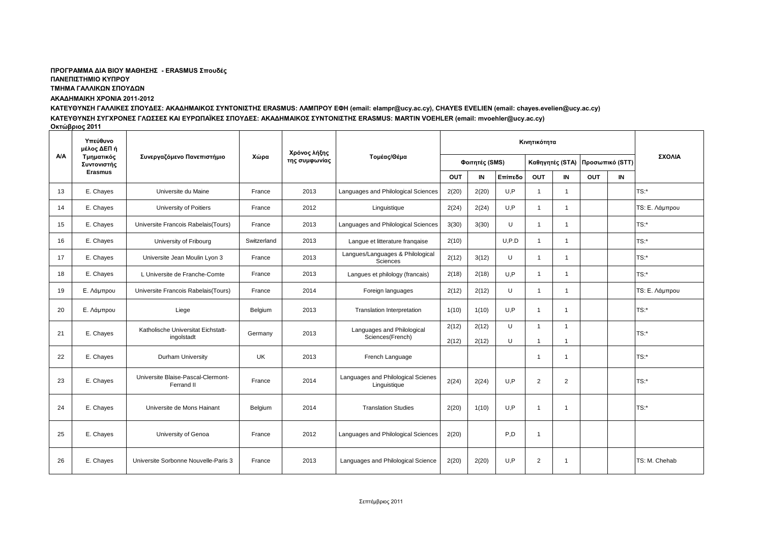#### ΠΡΟΓΡΑΜΜΑ ΔΙΑ ΒΙΟΥ ΜΑΘΗΣΗΣ - ERASMUS Σπουδές **ΠΑΝΔΠΙΣΗΜΙΟ ΚΤΠΡΟΤ ΤΜΗΜΑ ΓΑΛΛΙΚΩΝ ΣΠΟΥΔΩΝ**

#### **ΑΚΑΔΗΜΑΙΚΗ ΧΡΟΝΙΑ 2011-2012**

ΚΑΤΕΥΘΥΝΣΗ ΓΑΛΛΙΚΕΣ ΣΠΟΥΔΕΣ: ΑΚΑΔΗΜΑΙΚΟΣ ΣΥΝΤΟΝΙΣΤΗΣ ERASMUS: ΛΑΜΠΡΟΥ ΕΦΗ (email: elampr@ucy.ac.cy), CHAYES EVELIEN (email: chayes.evelien@ucy.ac.cy) ΚΑΤΕΥΘΥΝΣΗ ΣΥΓΧΡΟΝΕΣ ΓΛΩΣΣΕΣ ΚΑΙ ΕΥΡΩΠΑΪΚΕΣ ΣΠΟΥΔΕΣ: ΑΚΑΔΗΜΑΙΚΟΣ ΣΥΝΤΟΝΙΣΤΗΣ ERASMUS: MARTIN VOEHLER (email: mvoehler@ucy.ac.cy) **Οκτώβριος 2011** 

|            | Υπεύθυνο<br>μέλος ΔΕΠ ή<br>Τμηματικός<br>Συντονιστής | Συνεργαζόμενο Πανεπιστήμιο                       | Χώρα        | Χρόνος λήξης<br>της συμφωνίας | Τομέας/Θέμα                                        | Κινητικότητα   |                |         |                     |                |                                 |    |                |
|------------|------------------------------------------------------|--------------------------------------------------|-------------|-------------------------------|----------------------------------------------------|----------------|----------------|---------|---------------------|----------------|---------------------------------|----|----------------|
| <b>A/A</b> |                                                      |                                                  |             |                               |                                                    | Φοιτητές (SMS) |                |         |                     |                | Καθηγητές (STA) Προσωπικό (STT) |    | ΣΧΟΛΙΑ         |
|            | <b>Erasmus</b>                                       |                                                  |             |                               |                                                    | <b>OUT</b>     | IN             | Επίπεδο | <b>OUT</b>          | IN             | <b>OUT</b>                      | IN |                |
| 13         | E. Chayes                                            | Universite du Maine                              | France      | 2013                          | Languages and Philological Sciences                | 2(20)          | 2(20)          | U.P     |                     | $\overline{1}$ |                                 |    | $TS:$ *        |
| 14         | E. Chayes                                            | University of Poitiers                           | France      | 2012                          | Linguistique                                       | 2(24)          | 2(24)          | U, P    | -1                  | -1             |                                 |    | TS: Ε. Λάμπρου |
| 15         | E. Chayes                                            | Universite Francois Rabelais (Tours)             | France      | 2013                          | Languages and Philological Sciences                | 3(30)          | 3(30)          | U       | $\mathbf{1}$        | $\mathbf{1}$   |                                 |    | $TS:$ *        |
| 16         | E. Chayes                                            | University of Fribourg                           | Switzerland | 2013                          | Langue et litterature frangaise                    | 2(10)          |                | U, P.D  | $\overline{1}$      | $\overline{1}$ |                                 |    | TS:            |
| 17         | E. Chayes                                            | Universite Jean Moulin Lyon 3                    | France      | 2013                          | Langues/Languages & Philological<br>Sciences       | 2(12)          | 3(12)          | U       | $\overline{1}$      | $\mathbf{1}$   |                                 |    | $TS:$ *        |
| 18         | E. Chayes                                            | L Universite de Franche-Comte                    | France      | 2013                          | Langues et philology (francais)                    | 2(18)          | 2(18)          | U.P     | $\overline{1}$      | $\overline{1}$ |                                 |    | $TS:$ *        |
| 19         | Ε. Λάμπρου                                           | Universite Francois Rabelais(Tours)              | France      | 2014                          | Foreign languages                                  | 2(12)          | 2(12)          | U       | $\mathbf{1}$        | $\mathbf{1}$   |                                 |    | TS: Ε. Λάμπρου |
| 20         | Ε. Λάμπρου                                           | Liege                                            | Belgium     | 2013                          | <b>Translation Interpretation</b>                  | 1(10)          | 1(10)          | U.P     | -1                  |                |                                 |    | $TS:$ *        |
| 21         | E. Chayes                                            | Katholische Universitat Eichstatt-<br>ingolstadt | Germany     | 2013                          | Languages and Philological<br>Sciences(French)     | 2(12)<br>2(12) | 2(12)<br>2(12) | U<br>U  | $\overline{1}$<br>1 | -1             |                                 |    | TS:            |
| 22         | E. Chayes                                            | Durham University                                | UK          | 2013                          | French Language                                    |                |                |         | 1                   |                |                                 |    | $TS:$ *        |
| 23         | E. Chayes                                            | Universite Blaise-Pascal-Clermont-<br>Ferrand II | France      | 2014                          | Languages and Philological Scienes<br>Linguistique | 2(24)          | 2(24)          | U.P     | 2                   | $\overline{2}$ |                                 |    | $TS:$ *        |
| 24         | E. Chayes                                            | Universite de Mons Hainant                       | Belgium     | 2014                          | <b>Translation Studies</b>                         | 2(20)          | 1(10)          | U.P     | 1                   |                |                                 |    | TS:            |
| 25         | E. Chayes                                            | University of Genoa                              | France      | 2012                          | Languages and Philological Sciences                | 2(20)          |                | P.D     | $\overline{1}$      |                |                                 |    |                |
| 26         | E. Chayes                                            | Universite Sorbonne Nouvelle-Paris 3             | France      | 2013                          | Languages and Philological Science                 | 2(20)          | 2(20)          | U.P     | 2                   | -1             |                                 |    | TS: M. Chehab  |